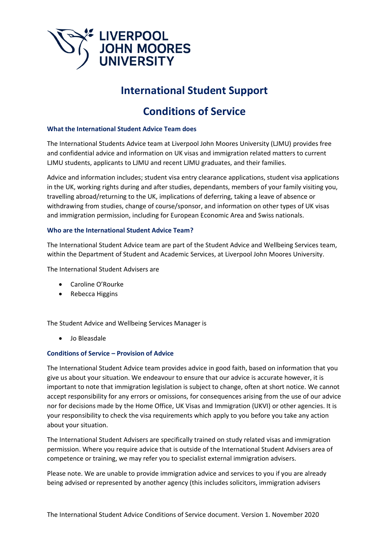

# **International Student Support**

# **Conditions of Service**

## **What the International Student Advice Team does**

The International Students Advice team at Liverpool John Moores University (LJMU) provides free and confidential advice and information on UK visas and immigration related matters to current LJMU students, applicants to LJMU and recent LJMU graduates, and their families.

Advice and information includes; student visa entry clearance applications, student visa applications in the UK, working rights during and after studies, dependants, members of your family visiting you, travelling abroad/returning to the UK, implications of deferring, taking a leave of absence or withdrawing from studies, change of course/sponsor, and information on other types of UK visas and immigration permission, including for European Economic Area and Swiss nationals.

## **Who are the International Student Advice Team?**

The International Student Advice team are part of the Student Advice and Wellbeing Services team, within the Department of Student and Academic Services, at Liverpool John Moores University.

The International Student Advisers are

- Caroline O'Rourke
- Rebecca Higgins

The Student Advice and Wellbeing Services Manager is

• Jo Bleasdale

## **Conditions of Service – Provision of Advice**

The International Student Advice team provides advice in good faith, based on information that you give us about your situation. We endeavour to ensure that our advice is accurate however, it is important to note that immigration legislation is subject to change, often at short notice. We cannot accept responsibility for any errors or omissions, for consequences arising from the use of our advice nor for decisions made by the Home Office, UK Visas and Immigration (UKVI) or other agencies. It is your responsibility to check the visa requirements which apply to you before you take any action about your situation.

The International Student Advisers are specifically trained on study related visas and immigration permission. Where you require advice that is outside of the International Student Advisers area of competence or training, we may refer you to specialist external immigration advisers.

Please note. We are unable to provide immigration advice and services to you if you are already being advised or represented by another agency (this includes solicitors, immigration advisers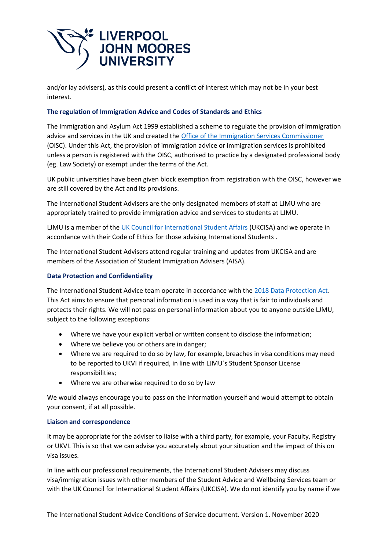

and/or lay advisers), as this could present a conflict of interest which may not be in your best interest.

## **The regulation of Immigration Advice and Codes of Standards and Ethics**

The Immigration and Asylum Act 1999 established a scheme to regulate the provision of immigration advice and services in the UK and created the [Office of the Immigration Services Commissioner](https://www.gov.uk/government/organisations/office-of-the-immigration-services-commissioner) (OISC). Under this Act, the provision of immigration advice or immigration services is prohibited unless a person is registered with the OISC, authorised to practice by a designated professional body (eg. Law Society) or exempt under the terms of the Act.

UK public universities have been given block exemption from registration with the OISC, however we are still covered by the Act and its provisions.

The International Student Advisers are the only designated members of staff at LJMU who are appropriately trained to provide immigration advice and services to students at LJMU.

LJMU is a member of the [UK Council for International Student Affairs](https://www.ukcisa.org.uk/) (UKCISA) and we operate in accordance with their Code of Ethics for those advising International Students .

The International Student Advisers attend regular training and updates from UKCISA and are members of the Association of Student Immigration Advisers (AISA).

## **Data Protection and Confidentiality**

The International Student Advice team operate in accordance with the [2018 Data Protection Act.](https://www.gov.uk/data-protection) This Act aims to ensure that personal information is used in a way that is fair to individuals and protects their rights. We will not pass on personal information about you to anyone outside LJMU, subject to the following exceptions:

- Where we have your explicit verbal or written consent to disclose the information;
- Where we believe you or others are in danger;
- Where we are required to do so by law, for example, breaches in visa conditions may need to be reported to UKVI if required, in line with LJMU´s Student Sponsor License responsibilities;
- Where we are otherwise required to do so by law

We would always encourage you to pass on the information yourself and would attempt to obtain your consent, if at all possible.

## **Liaison and correspondence**

It may be appropriate for the adviser to liaise with a third party, for example, your Faculty, Registry or UKVI. This is so that we can advise you accurately about your situation and the impact of this on visa issues.

In line with our professional requirements, the International Student Advisers may discuss visa/immigration issues with other members of the Student Advice and Wellbeing Services team or with the UK Council for International Student Affairs (UKCISA). We do not identify you by name if we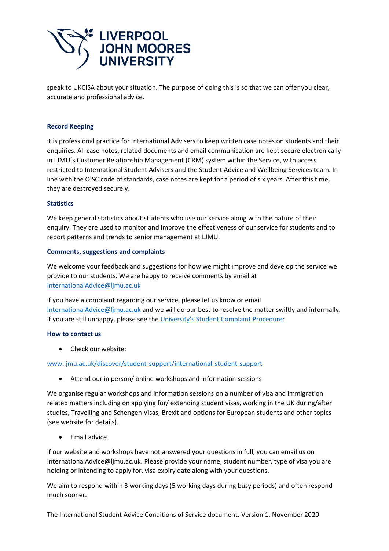

speak to UKCISA about your situation. The purpose of doing this is so that we can offer you clear, accurate and professional advice.

## **Record Keeping**

It is professional practice for International Advisers to keep written case notes on students and their enquiries. All case notes, related documents and email communication are kept secure electronically in LJMU´s Customer Relationship Management (CRM) system within the Service, with access restricted to International Student Advisers and the Student Advice and Wellbeing Services team. In line with the OISC code of standards, case notes are kept for a period of six years. After this time, they are destroyed securely.

## **Statistics**

We keep general statistics about students who use our service along with the nature of their enquiry. They are used to monitor and improve the effectiveness of our service for students and to report patterns and trends to senior management at LJMU.

## **Comments, suggestions and complaints**

We welcome your feedback and suggestions for how we might improve and develop the service we provide to our students. We are happy to receive comments by email at [InternationalAdvice@ljmu.ac.uk](mailto:InternationalAdvice@ljmu.ac.uk) 

If you have a complaint regarding our service, please let us know or email [InternationalAdvice@ljmu.ac.uk](mailto:InternationalAdvice@ljmu.ac.uk) and we will do our best to resolve the matter swiftly and informally. If you are still unhappy, please see the [University's Student Complaint Procedure](https://www.ljmu.ac.uk/about-us/public-information/student-regulations/student-complaints):

## **How to contact us**

• Check our website:

# [www.ljmu.ac.uk/discover/student-support/international-student-support](http://www.ljmu.ac.uk/discover/student-support/international-student-support)

• Attend our in person/ online workshops and information sessions

We organise regular workshops and information sessions on a number of visa and immigration related matters including on applying for/ extending student visas, working in the UK during/after studies, Travelling and Schengen Visas, Brexit and options for European students and other topics (see website for details).

• Email advice

If our website and workshops have not answered your questions in full, you can email us on InternationalAdvice@ljmu.ac.uk. Please provide your name, student number, type of visa you are holding or intending to apply for, visa expiry date along with your questions.

We aim to respond within 3 working days (5 working days during busy periods) and often respond much sooner.

The International Student Advice Conditions of Service document. Version 1. November 2020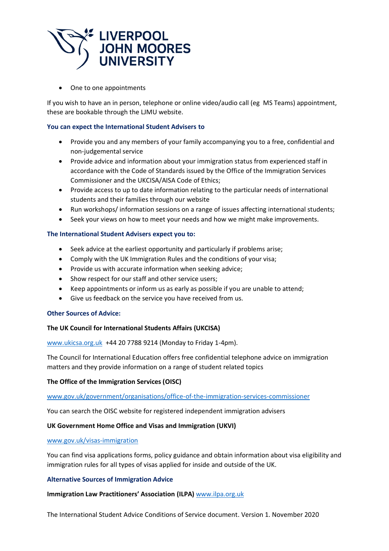

• One to one appointments

If you wish to have an in person, telephone or online video/audio call (eg MS Teams) appointment, these are bookable through the LJMU website.

## **You can expect the International Student Advisers to**

- Provide you and any members of your family accompanying you to a free, confidential and non-judgemental service
- Provide advice and information about your immigration status from experienced staff in accordance with the Code of Standards issued by the Office of the Immigration Services Commissioner and the UKCISA/AISA Code of Ethics;
- Provide access to up to date information relating to the particular needs of international students and their families through our website
- Run workshops/ information sessions on a range of issues affecting international students;
- Seek your views on how to meet your needs and how we might make improvements.

## **The International Student Advisers expect you to:**

- Seek advice at the earliest opportunity and particularly if problems arise;
- Comply with the UK Immigration Rules and the conditions of your visa;
- Provide us with accurate information when seeking advice;
- Show respect for our staff and other service users;
- Keep appointments or inform us as early as possible if you are unable to attend;
- Give us feedback on the service you have received from us.

## **Other Sources of Advice:**

## **The UK Council for International Students Affairs (UKCISA)**

[www.ukicsa.org.uk](http://www.ukicsa.org.uk/) +44 20 7788 9214 (Monday to Friday 1-4pm).

The Council for International Education offers free confidential telephone advice on immigration matters and they provide information on a range of student related topics

## **The Office of the Immigration Services (OISC)**

[www.gov.uk/government/organisations/office-of-the-immigration-services-commissioner](http://www.gov.uk/government/organisations/office-of-the-immigration-services-commissioner)

You can search the OISC website for registered independent immigration advisers

## **UK Government Home Office and Visas and Immigration (UKVI)**

## [www.gov.uk/visas-immigration](http://www.gov.uk/visas-immigration)

You can find visa applications forms, policy guidance and obtain information about visa eligibility and immigration rules for all types of visas applied for inside and outside of the UK.

## **Alternative Sources of Immigration Advice**

## **Immigration Law Practitioners' Association (ILPA)** [www.ilpa.org.uk](http://www.ilpa.org.uk/)

The International Student Advice Conditions of Service document. Version 1. November 2020